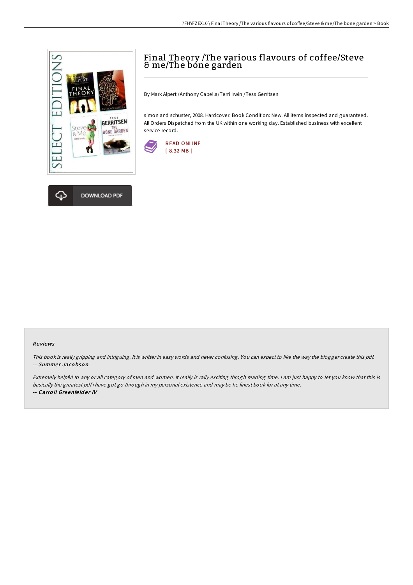

## Final Theory /The various flavours of coffee/Steve & me/The bone garden

By Mark Alpert /Anthony Capella/Terri Irwin /Tess Gerritsen

simon and schuster, 2008. Hardcover. Book Condition: New. All items inspected and guaranteed. All Orders Dispatched from the UK within one working day. Established business with excellent service record.



## Re views

This book is really gripping and intriguing. It is writter in easy words and never confusing. You can expect to like the way the blogger create this pdf. -- Summer Jacobson

Extremely helpful to any or all category of men and women. It really is rally exciting throgh reading time. <sup>I</sup> am just happy to let you know that this is basically the greatest pdf i have got go through in my personal existence and may be he finest book for at any time. -- Carroll Greenfelder IV